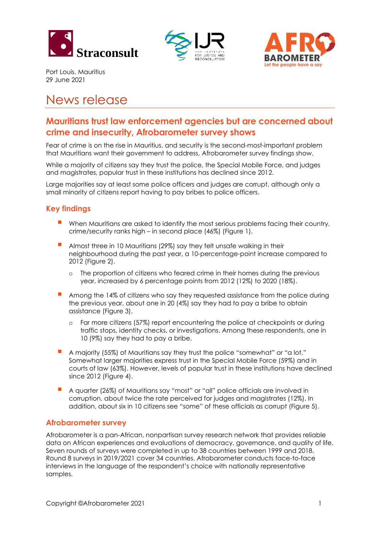





Port Louis, Mauritius 29 June 2021

# News release

# **Mauritians trust law enforcement agencies but are concerned about crime and insecurity, Afrobarometer survey shows**

Fear of crime is on the rise in Mauritius, and security is the second-most-important problem that Mauritians want their government to address, Afrobarometer survey findings show.

While a majority of citizens say they trust the police, the Special Mobile Force, and judges and magistrates, popular trust in these institutions has declined since 2012.

Large majorities say at least some police officers and judges are corrupt, although only a small minority of citizens report having to pay bribes to police officers.

# **Key findings**

- **■** When Mauritians are asked to identify the most serious problems facing their country, crime/security ranks high – in second place (46%) (Figure 1).
- **E** Almost three in 10 Mauritians (29%) say they felt unsafe walking in their neighbourhood during the past year, a 10-percentage-point increase compared to 2012 (Figure 2).
	- o The proportion of citizens who feared crime in their homes during the previous year, increased by 6 percentage points from 2012 (12%) to 2020 (18%).
- Among the 14% of citizens who say they requested assistance from the police during the previous year, about one in 20 (4%) say they had to pay a bribe to obtain assistance (Figure 3).
	- o Far more citizens (57%) report encountering the police at checkpoints or during traffic stops, identity checks, or investigations. Among these respondents, one in 10 (9%) say they had to pay a bribe.
- A majority (55%) of Mauritians say they trust the police "somewhat" or "a lot." Somewhat larger majorities express trust in the Special Mobile Force (59%) and in courts of law (63%). However, levels of popular trust in these institutions have declined since 2012 (Figure 4).
- A quarter (26%) of Mauritians say "most" or "all" police officials are involved in corruption, about twice the rate perceived for judges and magistrates (12%). In addition, about six in 10 citizens see "some" of these officials as corrupt (Figure 5).

## **Afrobarometer survey**

Afrobarometer is a pan-African, nonpartisan survey research network that provides reliable data on African experiences and evaluations of democracy, governance, and quality of life. Seven rounds of surveys were completed in up to 38 countries between 1999 and 2018. Round 8 surveys in 2019/2021 cover 34 countries. Afrobarometer conducts face-to-face interviews in the language of the respondent's choice with nationally representative samples.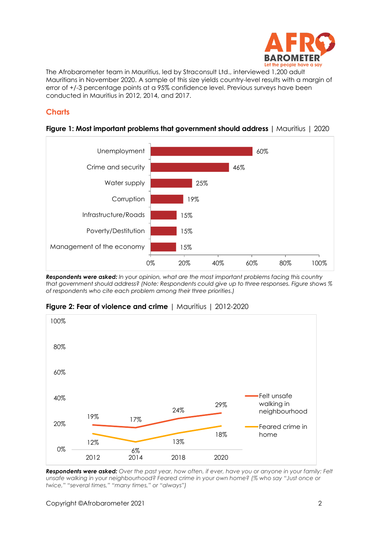

The Afrobarometer team in Mauritius, led by Straconsult Ltd., interviewed 1,200 adult Mauritians in November 2020. A sample of this size yields country-level results with a margin of error of +/-3 percentage points at a 95% confidence level. Previous surveys have been conducted in Mauritius in 2012, 2014, and 2017.

# **Charts**



#### **Figure 1: Most important problems that government should address | Mauritius | 2020**

*Respondents were asked: In your opinion, what are the most important problems facing this country that government should address? (Note: Respondents could give up to three responses. Figure shows % of respondents who cite each problem among their three priorities.)*



**Figure 2: Fear of violence and crime** | Mauritius | 2012-2020

*Respondents were asked: Over the past year, how often, if ever, have you or anyone in your family: Felt unsafe walking in your neighbourhood? Feared crime in your own home? (% who say "Just once or twice," "several times," "many times," or "always")*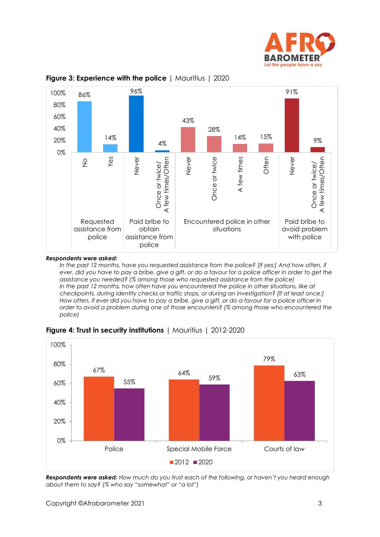





#### *Respondents were asked:*

*In the past 12 months, have you requested assistance from the police? [If yes:] And how often, if ever, did you have to pay a bribe, give a gift, or do a favour for a police officer in order to get the assistance you needed? (% among those who requested assistance from the police)* In the past 12 months, how often have you encountered the police in other situations, like at *checkpoints, during identity checks or traffic stops, or during an investigation? [If at least once:] How often, if ever did you have to pay a bribe, give a gift, or do a favour for a police officer in order to avoid a problem during one of those encounters? (% among those who encountered the police)*



**Figure 4: Trust in security institutions** | Mauritius | 2012-2020

*Respondents were asked: How much do you trust each of the following, or haven't you heard enough about them to say? (% who say "somewhat" or "a lot")*